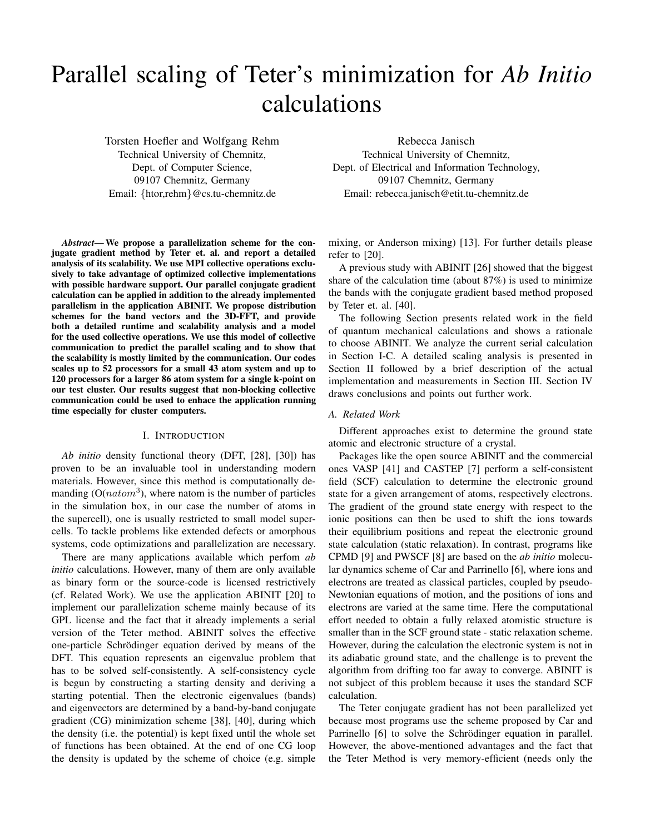# Parallel scaling of Teter's minimization for *Ab Initio* calculations

Torsten Hoefler and Wolfgang Rehm Technical University of Chemnitz, Dept. of Computer Science, 09107 Chemnitz, Germany Email: {htor,rehm}@cs.tu-chemnitz.de

*Abstract***— We propose a parallelization scheme for the conjugate gradient method by Teter et. al. and report a detailed analysis of its scalability. We use MPI collective operations exclusively to take advantage of optimized collective implementations with possible hardware support. Our parallel conjugate gradient calculation can be applied in addition to the already implemented parallelism in the application ABINIT. We propose distribution schemes for the band vectors and the 3D-FFT, and provide both a detailed runtime and scalability analysis and a model for the used collective operations. We use this model of collective communication to predict the parallel scaling and to show that the scalability is mostly limited by the communication. Our codes scales up to 52 processors for a small 43 atom system and up to 120 processors for a larger 86 atom system for a single k-point on our test cluster. Our results suggest that non-blocking collective communication could be used to enhace the application running time especially for cluster computers.**

#### I. INTRODUCTION

*Ab initio* density functional theory (DFT, [28], [30]) has proven to be an invaluable tool in understanding modern materials. However, since this method is computationally demanding ( $O(natom<sup>3</sup>)$ , where natom is the number of particles in the simulation box, in our case the number of atoms in the supercell), one is usually restricted to small model supercells. To tackle problems like extended defects or amorphous systems, code optimizations and parallelization are necessary.

There are many applications available which perfom *ab initio* calculations. However, many of them are only available as binary form or the source-code is licensed restrictively (cf. Related Work). We use the application ABINIT [20] to implement our parallelization scheme mainly because of its GPL license and the fact that it already implements a serial version of the Teter method. ABINIT solves the effective one-particle Schrödinger equation derived by means of the DFT. This equation represents an eigenvalue problem that has to be solved self-consistently. A self-consistency cycle is begun by constructing a starting density and deriving a starting potential. Then the electronic eigenvalues (bands) and eigenvectors are determined by a band-by-band conjugate gradient (CG) minimization scheme [38], [40], during which the density (i.e. the potential) is kept fixed until the whole set of functions has been obtained. At the end of one CG loop the density is updated by the scheme of choice (e.g. simple

Rebecca Janisch Technical University of Chemnitz, Dept. of Electrical and Information Technology, 09107 Chemnitz, Germany Email: rebecca.janisch@etit.tu-chemnitz.de

mixing, or Anderson mixing) [13]. For further details please refer to [20].

A previous study with ABINIT [26] showed that the biggest share of the calculation time (about 87%) is used to minimize the bands with the conjugate gradient based method proposed by Teter et. al. [40].

The following Section presents related work in the field of quantum mechanical calculations and shows a rationale to choose ABINIT. We analyze the current serial calculation in Section I-C. A detailed scaling analysis is presented in Section II followed by a brief description of the actual implementation and measurements in Section III. Section IV draws conclusions and points out further work.

#### *A. Related Work*

Different approaches exist to determine the ground state atomic and electronic structure of a crystal.

Packages like the open source ABINIT and the commercial ones VASP [41] and CASTEP [7] perform a self-consistent field (SCF) calculation to determine the electronic ground state for a given arrangement of atoms, respectively electrons. The gradient of the ground state energy with respect to the ionic positions can then be used to shift the ions towards their equilibrium positions and repeat the electronic ground state calculation (static relaxation). In contrast, programs like CPMD [9] and PWSCF [8] are based on the *ab initio* molecular dynamics scheme of Car and Parrinello [6], where ions and electrons are treated as classical particles, coupled by pseudo-Newtonian equations of motion, and the positions of ions and electrons are varied at the same time. Here the computational effort needed to obtain a fully relaxed atomistic structure is smaller than in the SCF ground state - static relaxation scheme. However, during the calculation the electronic system is not in its adiabatic ground state, and the challenge is to prevent the algorithm from drifting too far away to converge. ABINIT is not subject of this problem because it uses the standard SCF calculation.

The Teter conjugate gradient has not been parallelized yet because most programs use the scheme proposed by Car and Parrinello [6] to solve the Schrödinger equation in parallel. However, the above-mentioned advantages and the fact that the Teter Method is very memory-efficient (needs only the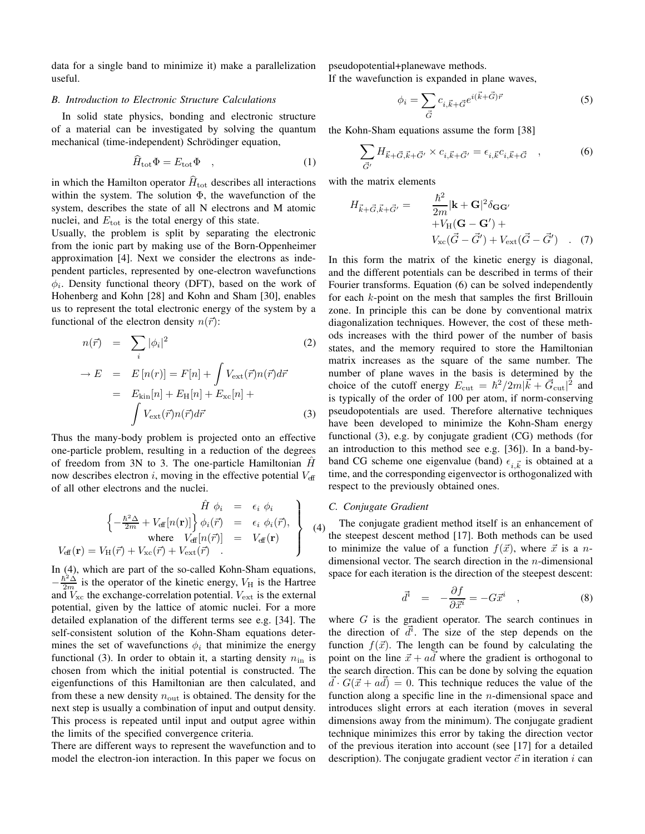data for a single band to minimize it) make a parallelization useful.

## *B. Introduction to Electronic Structure Calculations*

In solid state physics, bonding and electronic structure of a material can be investigated by solving the quantum mechanical (time-independent) Schrödinger equation,

$$
\hat{H}_{\text{tot}}\Phi = E_{\text{tot}}\Phi \quad , \tag{1}
$$

in which the Hamilton operator  $\widehat{H}_{\text{tot}}$  describes all interactions within the system. The solution  $\Phi$ , the wavefunction of the system, describes the state of all N electrons and M atomic nuclei, and  $E_{\text{tot}}$  is the total energy of this state.

Usually, the problem is split by separating the electronic from the ionic part by making use of the Born-Oppenheimer approximation [4]. Next we consider the electrons as independent particles, represented by one-electron wavefunctions  $\phi_i$ . Density functional theory (DFT), based on the work of Hohenberg and Kohn [28] and Kohn and Sham [30], enables us to represent the total electronic energy of the system by a functional of the electron density  $n(\vec{r})$ :

$$
n(\vec{r}) = \sum_{i} |\phi_i|^2 \tag{2}
$$

$$
\rightarrow E = E[n(r)] = F[n] + \int V_{\text{ext}}(\vec{r})n(\vec{r})d\vec{r}
$$

$$
= E_{\text{kin}}[n] + E_{\text{H}}[n] + E_{\text{xc}}[n] + \int V_{\text{ext}}(\vec{r})n(\vec{r})d\vec{r}
$$
(3)

Thus the many-body problem is projected onto an effective one-particle problem, resulting in a reduction of the degrees of freedom from 3N to 3. The one-particle Hamiltonian  $\hat{H}$ now describes electron  $i$ , moving in the effective potential  $V_{\text{eff}}$ of all other electrons and the nuclei.

$$
\hat{H} \phi_i = \epsilon_i \phi_i
$$
\n
$$
\begin{cases}\n-\frac{\hbar^2 \Delta}{2m} + V_{\text{eff}}[n(\mathbf{r})]\n\end{cases} \phi_i(\vec{r}) = \epsilon_i \phi_i(\vec{r}),
$$
\nwhere  $V_{\text{eff}}[n(\vec{r})] = V_{\text{eff}}(\mathbf{r})$   
\n
$$
V_{\text{eff}}(\mathbf{r}) = V_H(\vec{r}) + V_{\text{xc}}(\vec{r}) + V_{\text{ext}}(\vec{r})
$$
\n(4)

In (4), which are part of the so-called Kohn-Sham equations,  $-\frac{\hbar^2 \Delta}{2m}$  is the operator of the kinetic energy,  $V_H$  is the Hartree and  $V_{\text{xc}}$  the exchange-correlation potential.  $V_{\text{ext}}$  is the external potential, given by the lattice of atomic nuclei. For a more detailed explanation of the different terms see e.g. [34]. The self-consistent solution of the Kohn-Sham equations determines the set of wavefunctions  $\phi_i$  that minimize the energy functional (3). In order to obtain it, a starting density  $n_{\text{in}}$  is chosen from which the initial potential is constructed. The eigenfunctions of this Hamiltonian are then calculated, and from these a new density  $n_{\text{out}}$  is obtained. The density for the next step is usually a combination of input and output density. This process is repeated until input and output agree within the limits of the specified convergence criteria.

There are different ways to represent the wavefunction and to model the electron-ion interaction. In this paper we focus on pseudopotential+planewave methods.

If the wavefunction is expanded in plane waves,

$$
\phi_i = \sum_{\vec{G}} c_{i, \vec{k} + \vec{G}} e^{i(\vec{k} + \vec{G})\vec{r}}
$$
\n(5)

the Kohn-Sham equations assume the form [38]

$$
\sum_{\vec{G}'} H_{\vec{k} + \vec{G}, \vec{k} + \vec{G}'} \times c_{i, \vec{k} + \vec{G}'} = \epsilon_{i, \vec{k}} c_{i, \vec{k} + \vec{G}} \quad , \tag{6}
$$

with the matrix elements

$$
H_{\vec{k}+\vec{G},\vec{k}+\vec{G}'} = \frac{\hbar^2}{2m} |\mathbf{k}+\mathbf{G}|^2 \delta_{\mathbf{G}\mathbf{G}'}
$$
  
+  $V_{\text{H}}(\mathbf{G}-\mathbf{G}') + V_{\text{ext}}(\vec{G}-\vec{G}')$  (7)

In this form the matrix of the kinetic energy is diagonal, and the different potentials can be described in terms of their Fourier transforms. Equation (6) can be solved independently for each k-point on the mesh that samples the first Brillouin zone. In principle this can be done by conventional matrix diagonalization techniques. However, the cost of these methods increases with the third power of the number of basis states, and the memory required to store the Hamiltonian matrix increases as the square of the same number. The number of plane waves in the basis is determined by the choice of the cutoff energy  $E_{\text{cut}} = \hbar^2/2m|\vec{k} + \vec{G}_{\text{cut}}|^2$  and is typically of the order of 100 per atom, if norm-conserving pseudopotentials are used. Therefore alternative techniques have been developed to minimize the Kohn-Sham energy functional (3), e.g. by conjugate gradient (CG) methods (for an introduction to this method see e.g. [36]). In a band-byband CG scheme one eigenvalue (band)  $\epsilon_{i,\vec{k}}$  is obtained at a time, and the corresponding eigenvector is orthogonalized with respect to the previously obtained ones.

#### *C. Conjugate Gradient*

The conjugate gradient method itself is an enhancement of the steepest descent method [17]. Both methods can be used to minimize the value of a function  $f(\vec{x})$ , where  $\vec{x}$  is a ndimensional vector. The search direction in the  $n$ -dimensional space for each iteration is the direction of the steepest descent:

$$
\vec{d}^i = -\frac{\partial f}{\partial \vec{x}^i} = -G\vec{x}^i \quad , \tag{8}
$$

where  $G$  is the gradient operator. The search continues in the direction of  $\overrightarrow{d}$ . The size of the step depends on the function  $f(\vec{x})$ . The length can be found by calculating the point on the line  $\vec{x} + a\vec{d}$  where the gradient is orthogonal to the search direction. This can be done by solving the equation  $\vec{d} \cdot G(\vec{x} + a\vec{d}) = 0$ . This technique reduces the value of the function along a specific line in the  $n$ -dimensional space and introduces slight errors at each iteration (moves in several dimensions away from the minimum). The conjugate gradient technique minimizes this error by taking the direction vector of the previous iteration into account (see [17] for a detailed description). The conjugate gradient vector  $\vec{c}$  in iteration i can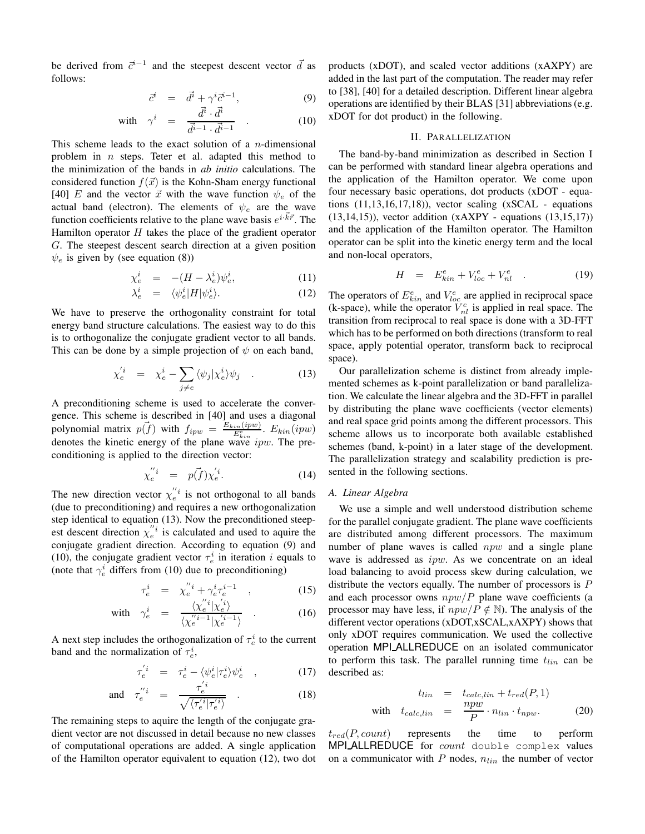be derived from  $\vec{c}^{i-1}$  and the steepest descent vector  $\vec{d}$  as follows:

$$
\vec{c}^i = \vec{d}^i + \gamma^i \vec{c}^{i-1}, \tag{9}
$$

with 
$$
\gamma^i = \frac{\vec{d}^i \cdot \vec{d}^i}{\vec{d}^{i-1} \cdot \vec{d}^{i-1}}
$$
 (10)

This scheme leads to the exact solution of a *n*-dimensional problem in  $n$  steps. Teter et al. adapted this method to the minimization of the bands in *ab initio* calculations. The considered function  $f(\vec{x})$  is the Kohn-Sham energy functional [40] E and the vector  $\vec{x}$  with the wave function  $\psi_e$  of the actual band (electron). The elements of  $\psi_e$  are the wave function coefficients relative to the plane wave basis  $e^{i\cdot \vec{k}\vec{r}}$ . The Hamilton operator  $H$  takes the place of the gradient operator G. The steepest descent search direction at a given position  $\psi_e$  is given by (see equation (8))

$$
\chi_e^i = -(H - \lambda_e^i)\psi_e^i, \qquad (11)
$$

$$
\lambda_e^i = \langle \psi_e^i | H | \psi_e^i \rangle. \tag{12}
$$

We have to preserve the orthogonality constraint for total energy band structure calculations. The easiest way to do this is to orthogonalize the conjugate gradient vector to all bands. This can be done by a simple projection of  $\psi$  on each band,

$$
\chi_e^{'i} = \chi_e^i - \sum_{j \neq e} \langle \psi_j | \chi_e^i \rangle \psi_j \quad . \tag{13}
$$

A preconditioning scheme is used to accelerate the convergence. This scheme is described in [40] and uses a diagonal polynomial matrix  $p(\vec{f})$  with  $f_{ipw} = \frac{E_{kin}(ipw)}{E_{kin}^e}$ .  $E_{kin}(ipw)$ denotes the kinetic energy of the plane wave  $ipw$ . The preconditioning is applied to the direction vector:

$$
\chi_e^{\prime\prime i} = p(\vec{f})\chi_e^{\prime i}.
$$
\n(14)

The new direction vector  $\chi_e^{n_i}$  is not orthogonal to all bands (due to preconditioning) and requires a new orthogonalization step identical to equation (13). Now the preconditioned steepest descent direction  $\chi_e^{n_i}$  is calculated and used to aquire the conjugate gradient direction. According to equation (9) and (10), the conjugate gradient vector  $\tau_e^i$  in iteration i equals to (note that  $\gamma_e^i$  differs from (10) due to preconditioning)

$$
\tau_e^i = \chi_e^{\prime\prime} i + \gamma_e^i \tau_e^{i-1} \quad , \tag{15}
$$
\n
$$
\chi^{\prime\prime} i | \sqrt{i} \rangle
$$

with 
$$
\gamma_e^i = \frac{\langle \chi_e^i|^i | \chi_e^i \rangle}{\langle \chi_e^{i-1} | \chi_e^{i-1} \rangle} \quad . \tag{16}
$$

A next step includes the orthogonalization of  $\tau_e^i$  to the current band and the normalization of  $\tau_e^i$ ,

$$
\tau_e^{'i} = \tau_e^i - \langle \psi_e^i | \tau_e^i \rangle \psi_e^i \quad , \tag{17}
$$

and 
$$
\tau_e^{\prime i} = \frac{\tau_e^{\prime i}}{\sqrt{\langle \tau_e^{\prime i} | \tau_e^{\prime i} \rangle}}
$$
 (18)

The remaining steps to aquire the length of the conjugate gradient vector are not discussed in detail because no new classes of computational operations are added. A single application of the Hamilton operator equivalent to equation (12), two dot products (xDOT), and scaled vector additions (xAXPY) are added in the last part of the computation. The reader may refer to [38], [40] for a detailed description. Different linear algebra operations are identified by their BLAS [31] abbreviations (e.g. xDOT for dot product) in the following.

## II. PARALLELIZATION

The band-by-band minimization as described in Section I can be performed with standard linear algebra operations and the application of the Hamilton operator. We come upon four necessary basic operations, dot products (xDOT - equations  $(11,13,16,17,18)$ , vector scaling  $(xSCAL - equations)$ (13,14,15)), vector addition (xAXPY - equations (13,15,17)) and the application of the Hamilton operator. The Hamilton operator can be split into the kinetic energy term and the local and non-local operators,

$$
H = E_{kin}^e + V_{loc}^e + V_{nl}^e \t . \t (19)
$$

The operators of  $E_{kin}^e$  and  $V_{loc}^e$  are applied in reciprocal space (k-space), while the operator  $V_{nl}^e$  is applied in real space. The transition from reciprocal to real space is done with a 3D-FFT which has to be performed on both directions (transform to real space, apply potential operator, transform back to reciprocal space).

Our parallelization scheme is distinct from already implemented schemes as k-point parallelization or band parallelization. We calculate the linear algebra and the 3D-FFT in parallel by distributing the plane wave coefficients (vector elements) and real space grid points among the different processors. This scheme allows us to incorporate both available established schemes (band, k-point) in a later stage of the development. The parallelization strategy and scalability prediction is presented in the following sections.

## *A. Linear Algebra*

We use a simple and well understood distribution scheme for the parallel conjugate gradient. The plane wave coefficients are distributed among different processors. The maximum number of plane waves is called *npw* and a single plane wave is addressed as ipw. As we concentrate on an ideal load balancing to avoid process skew during calculation, we distribute the vectors equally. The number of processors is P and each processor owns  $npw/P$  plane wave coefficients (a processor may have less, if  $npw/P \notin N$ ). The analysis of the different vector operations (xDOT,xSCAL,xAXPY) shows that only xDOT requires communication. We used the collective operation MPI ALLREDUCE on an isolated communicator to perform this task. The parallel running time  $t_{lin}$  can be described as:

$$
t_{lin} = t_{calc,lin} + t_{red}(P, 1)
$$
  
with  $t_{calc,lin} = \frac{npw}{P} \cdot n_{lin} \cdot t_{npw}$ . (20)

 $t_{red}(P, count)$  represents the time to perform MPI\_ALLREDUCE for count double complex values on a communicator with  $P$  nodes,  $n_{lin}$  the number of vector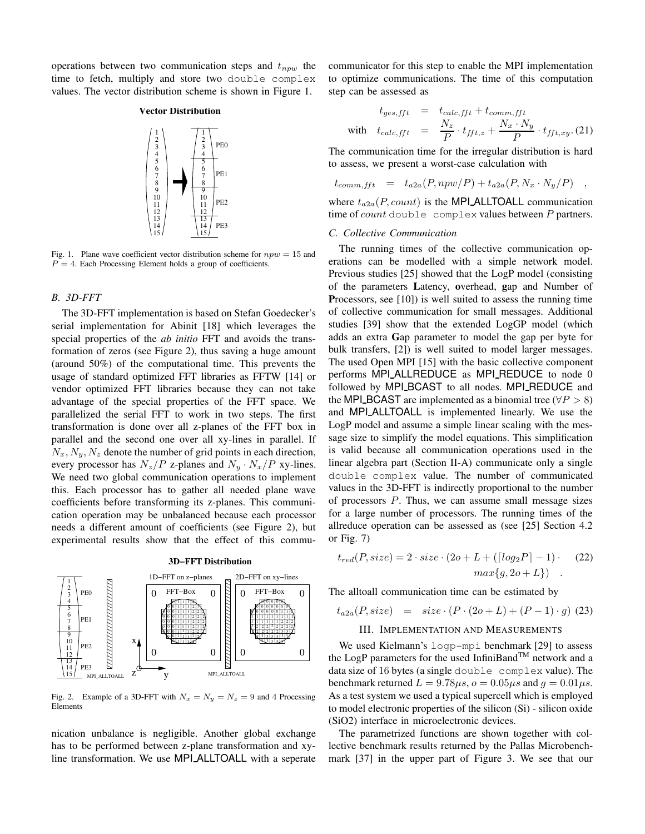operations between two communication steps and  $t_{now}$  the time to fetch, multiply and store two double complex values. The vector distribution scheme is shown in Figure 1.

## **Vector Distribution**



Fig. 1. Plane wave coefficient vector distribution scheme for  $npw = 15$  and  $P = 4$ . Each Processing Element holds a group of coefficients.

#### *B. 3D-FFT*

The 3D-FFT implementation is based on Stefan Goedecker's serial implementation for Abinit [18] which leverages the special properties of the *ab initio* FFT and avoids the transformation of zeros (see Figure 2), thus saving a huge amount (around 50%) of the computational time. This prevents the usage of standard optimized FFT libraries as FFTW [14] or vendor optimized FFT libraries because they can not take advantage of the special properties of the FFT space. We parallelized the serial FFT to work in two steps. The first transformation is done over all z-planes of the FFT box in parallel and the second one over all xy-lines in parallel. If  $N_x, N_y, N_z$  denote the number of grid points in each direction, every processor has  $N_z/P$  z-planes and  $N_y \cdot N_x/P$  xy-lines. We need two global communication operations to implement this. Each processor has to gather all needed plane wave coefficients before transforming its z-planes. This communication operation may be unbalanced because each processor needs a different amount of coefficients (see Figure 2), but experimental results show that the effect of this commu-



Fig. 2. Example of a 3D-FFT with  $N_x = N_y = N_z = 9$  and 4 Processing Elements

nication unbalance is negligible. Another global exchange has to be performed between z-plane transformation and xyline transformation. We use MPI ALLTOALL with a seperate communicator for this step to enable the MPI implementation to optimize communications. The time of this computation step can be assessed as

$$
t_{ges,fft} = t_{calc,fft} + t_{comm,fft}
$$
  
with 
$$
t_{calc,fft} = \frac{N_z}{P} \cdot t_{fft,z} + \frac{N_x \cdot N_y}{P} \cdot t_{fft,xy}.
$$
 (21)

The communication time for the irregular distribution is hard to assess, we present a worst-case calculation with

$$
t_{comm, fft} = t_{a2a}(P, npw/P) + t_{a2a}(P, N_x \cdot N_y/P) ,
$$

where  $t_{a2a}(P, count)$  is the MPI ALLTOALL communication time of count double complex values between  $P$  partners.

#### *C. Collective Communication*

The running times of the collective communication operations can be modelled with a simple network model. Previous studies [25] showed that the LogP model (consisting of the parameters **L**atency, **o**verhead, **g**ap and Number of **P**rocessors, see [10]) is well suited to assess the running time of collective communication for small messages. Additional studies [39] show that the extended LogGP model (which adds an extra **G**ap parameter to model the gap per byte for bulk transfers, [2]) is well suited to model larger messages. The used Open MPI [15] with the basic collective component performs MPI ALLREDUCE as MPI REDUCE to node 0 followed by MPI\_BCAST to all nodes. MPI\_REDUCE and the MPI BCAST are implemented as a binomial tree ( $\forall P > 8$ ) and MPI ALLTOALL is implemented linearly. We use the LogP model and assume a simple linear scaling with the message size to simplify the model equations. This simplification is valid because all communication operations used in the linear algebra part (Section II-A) communicate only a single double complex value. The number of communicated values in the 3D-FFT is indirectly proportional to the number of processors  $P$ . Thus, we can assume small message sizes for a large number of processors. The running times of the allreduce operation can be assessed as (see [25] Section 4.2 or Fig. 7)

$$
t_{red}(P, size) = 2 \cdot size \cdot (2o + L + (\lceil log_2 P \rceil - 1) \cdot (22)
$$

$$
max\{g, 2o + L\})
$$

The alltoall communication time can be estimated by

$$
t_{a2a}(P, size) = size \cdot (P \cdot (2o + L) + (P - 1) \cdot g)
$$
 (23)

## III. IMPLEMENTATION AND MEASUREMENTS

 $\sum_{\text{LTOALL}}$  data size of 16 bytes (a single double complex value). The  $\mathbb{R} \left[ \begin{array}{ccc} 0 & \cdots & 0 \end{array} \right]$  the LogP parameters for the used InfiniBand<sup>TM</sup> network and a We used Kielmann's logp-mpi benchmark [29] to assess benchmark returned  $L = 9.78 \mu s$ ,  $o = 0.05 \mu s$  and  $q = 0.01 \mu s$ . As a test system we used a typical supercell which is employed to model electronic properties of the silicon (Si) - silicon oxide (SiO2) interface in microelectronic devices.

> The parametrized functions are shown together with collective benchmark results returned by the Pallas Microbenchmark [37] in the upper part of Figure 3. We see that our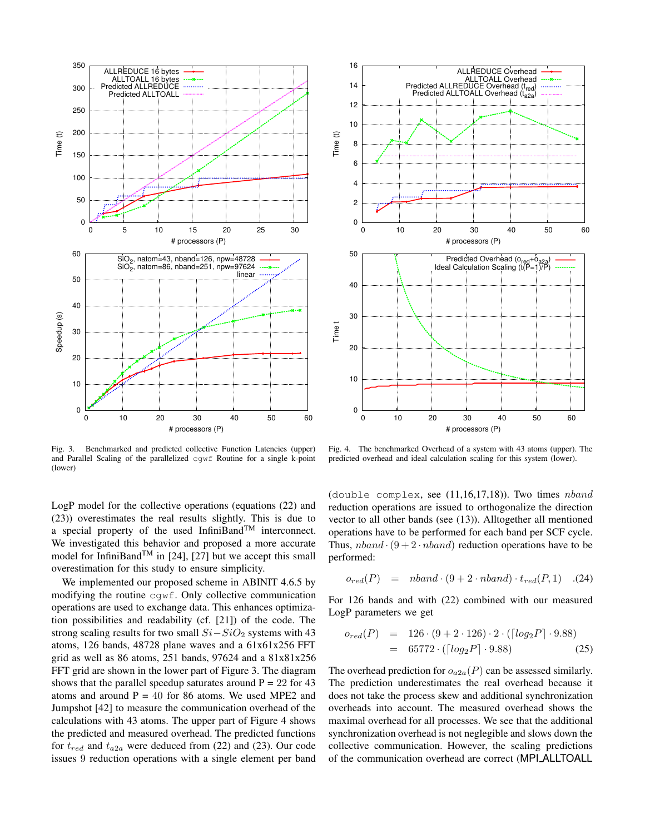

Fig. 3. Benchmarked and predicted collective Function Latencies (upper) and Parallel Scaling of the parallelized cgwf Routine for a single k-point (lower)

LogP model for the collective operations (equations (22) and (23)) overestimates the real results slightly. This is due to a special property of the used InfiniBand<sup>TM</sup> interconnect. We investigated this behavior and proposed a more accurate model for InfiniBand<sup>TM</sup> in [24], [27] but we accept this small overestimation for this study to ensure simplicity.

We implemented our proposed scheme in ABINIT 4.6.5 by modifying the routine cgwf. Only collective communication operations are used to exchange data. This enhances optimization possibilities and readability (cf. [21]) of the code. The strong scaling results for two small  $Si-SiO<sub>2</sub>$  systems with 43 atoms, 126 bands, 48728 plane waves and a 61x61x256 FFT grid as well as 86 atoms, 251 bands, 97624 and a 81x81x256 FFT grid are shown in the lower part of Figure 3. The diagram shows that the parallel speedup saturates around  $P = 22$  for 43 atoms and around  $P = 40$  for 86 atoms. We used MPE2 and Jumpshot [42] to measure the communication overhead of the calculations with 43 atoms. The upper part of Figure 4 shows the predicted and measured overhead. The predicted functions for  $t_{red}$  and  $t_{a2a}$  were deduced from (22) and (23). Our code issues 9 reduction operations with a single element per band



Fig. 4. The benchmarked Overhead of a system with 43 atoms (upper). The predicted overhead and ideal calculation scaling for this system (lower).

(double complex, see  $(11,16,17,18)$ ). Two times  $nband$ reduction operations are issued to orthogonalize the direction vector to all other bands (see (13)). Alltogether all mentioned operations have to be performed for each band per SCF cycle. Thus,  $nband \cdot (9 + 2 \cdot n band)$  reduction operations have to be performed:

$$
o_{red}(P) = \nabla \cdot (9 + 2 \cdot \nabla \cdot n \cdot (P, 1) \quad .(24)
$$

For 126 bands and with (22) combined with our measured LogP parameters we get

$$
o_{red}(P) = 126 \cdot (9 + 2 \cdot 126) \cdot 2 \cdot ([log_2 P] \cdot 9.88)
$$
  
= 65772 \cdot ([log\_2 P] \cdot 9.88) (25)

The overhead prediction for  $o_{a2a}(P)$  can be assessed similarly. The prediction underestimates the real overhead because it does not take the process skew and additional synchronization overheads into account. The measured overhead shows the maximal overhead for all processes. We see that the additional synchronization overhead is not neglegible and slows down the collective communication. However, the scaling predictions of the communication overhead are correct (MPI ALLTOALL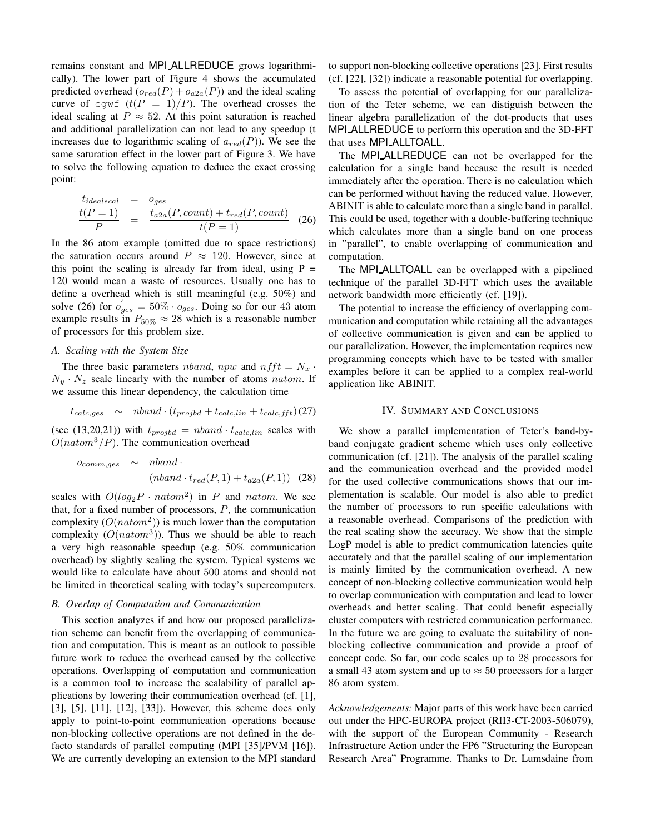remains constant and MPI ALLREDUCE grows logarithmically). The lower part of Figure 4 shows the accumulated predicted overhead  $(o_{red}(P) + o_{a2a}(P))$  and the ideal scaling curve of cgwf  $(t(P = 1)/P)$ . The overhead crosses the ideal scaling at  $P \approx 52$ . At this point saturation is reached and additional parallelization can not lead to any speedup (t increases due to logarithmic scaling of  $a_{red}(P)$ ). We see the same saturation effect in the lower part of Figure 3. We have to solve the following equation to deduce the exact crossing point:

$$
\frac{t_{idealscal}}{P} = o_{ges}
$$
\n
$$
\frac{t(P = 1)}{P} = \frac{t_{a2a}(P, count) + t_{red}(P, count)}{t(P = 1)}
$$
\n(26)

In the 86 atom example (omitted due to space restrictions) the saturation occurs around  $P \approx 120$ . However, since at this point the scaling is already far from ideal, using  $P =$ 120 would mean a waste of resources. Usually one has to define a overhead which is still meaningful (e.g. 50%) and solve (26) for  $o'_{ges} = 50\% \cdot o_{ges}$ . Doing so for our 43 atom example results in  $P_{50\%} \approx 28$  which is a reasonable number of processors for this problem size.

## *A. Scaling with the System Size*

The three basic parameters *nband*, npw and  $n f f t = N_x$ .  $N_y \cdot N_z$  scale linearly with the number of atoms *natom*. If we assume this linear dependency, the calculation time

$$
t_{calc,ges} \sim \n nband \cdot (t_{projbd} + t_{calc,lin} + t_{calc,fft}) (27)
$$

(see (13,20,21)) with  $t_{projbd} = n band \cdot t_{calc,lin}$  scales with  $O(natom^3/P)$ . The communication overhead

$$
o_{comm,ges} \sim \n nband \cdot \n (nband \cdot t_{red}(P, 1) + t_{a2a}(P, 1)) \n (28)
$$

scales with  $O(log_2 P \cdot natom^2)$  in P and natom. We see that, for a fixed number of processors,  $P$ , the communication complexity  $(O(natom^2))$  is much lower than the computation complexity  $(O(natom^3))$ . Thus we should be able to reach a very high reasonable speedup (e.g. 50% communication overhead) by slightly scaling the system. Typical systems we would like to calculate have about 500 atoms and should not be limited in theoretical scaling with today's supercomputers.

## *B. Overlap of Computation and Communication*

This section analyzes if and how our proposed parallelization scheme can benefit from the overlapping of communication and computation. This is meant as an outlook to possible future work to reduce the overhead caused by the collective operations. Overlapping of computation and communication is a common tool to increase the scalability of parallel applications by lowering their communication overhead (cf. [1], [3], [5], [11], [12], [33]). However, this scheme does only apply to point-to-point communication operations because non-blocking collective operations are not defined in the defacto standards of parallel computing (MPI [35]/PVM [16]). We are currently developing an extension to the MPI standard to support non-blocking collective operations [23]. First results (cf. [22], [32]) indicate a reasonable potential for overlapping.

To assess the potential of overlapping for our parallelization of the Teter scheme, we can distiguish between the linear algebra parallelization of the dot-products that uses MPI ALLREDUCE to perform this operation and the 3D-FFT that uses MPI ALLTOALL.

The MPI\_ALLREDUCE can not be overlapped for the calculation for a single band because the result is needed immediately after the operation. There is no calculation which can be performed without having the reduced value. However, ABINIT is able to calculate more than a single band in parallel. This could be used, together with a double-buffering technique which calculates more than a single band on one process in "parallel", to enable overlapping of communication and computation.

The MPI ALLTOALL can be overlapped with a pipelined technique of the parallel 3D-FFT which uses the available network bandwidth more efficiently (cf. [19]).

The potential to increase the efficiency of overlapping communication and computation while retaining all the advantages of collective communication is given and can be applied to our parallelization. However, the implementation requires new programming concepts which have to be tested with smaller examples before it can be applied to a complex real-world application like ABINIT.

### IV. SUMMARY AND CONCLUSIONS

We show a parallel implementation of Teter's band-byband conjugate gradient scheme which uses only collective communication (cf. [21]). The analysis of the parallel scaling and the communication overhead and the provided model for the used collective communications shows that our implementation is scalable. Our model is also able to predict the number of processors to run specific calculations with a reasonable overhead. Comparisons of the prediction with the real scaling show the accuracy. We show that the simple LogP model is able to predict communication latencies quite accurately and that the parallel scaling of our implementation is mainly limited by the communication overhead. A new concept of non-blocking collective communication would help to overlap communication with computation and lead to lower overheads and better scaling. That could benefit especially cluster computers with restricted communication performance. In the future we are going to evaluate the suitability of nonblocking collective communication and provide a proof of concept code. So far, our code scales up to 28 processors for a small 43 atom system and up to  $\approx$  50 processors for a larger 86 atom system.

*Acknowledgements:* Major parts of this work have been carried out under the HPC-EUROPA project (RII3-CT-2003-506079), with the support of the European Community - Research Infrastructure Action under the FP6 "Structuring the European Research Area" Programme. Thanks to Dr. Lumsdaine from